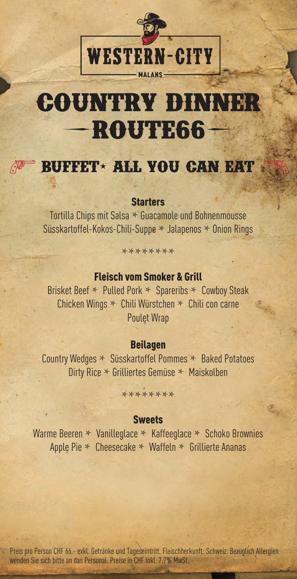

# **Country Dinner**   ${\bf R}\textbf{O}\textbf{U}\textbf{TE}\textbf{6}\textbf{6}$  –

## **BUFFET- ALL YOU CAN EAT**

#### **Starters**

Tortilla Chips mit Salsa **\*** Guacamole und Bohnenmousse Süsskartoffel-Kokos-Chili-Suppe **\*** Jalapenos **\*** Onion Rings

## \*\*\*\*\*\*\*\*

### Fleisch vom Smoker & Grill

Brisket Beef **\*** Pulled Pork **\*** Spareribs **\*** Cowboy Steak Chicken Wings **\*** Chili Würstchen **\*** Chili con carne Poulet Wrap

#### Beilagen

Country Wedges **\*** Süsskartoffel Pommes **\*** Baked Potatoes Dirty Rice **\*** Grilliertes Gemüse **\*** Maiskolben

#### **\*\*\*\*\*\*\*\***

#### **Sweets**

Warme Beeren **\*** Vanilleglace **\*** Kaffeeglace **\*** Schoko Brownies Apple Pie **\*** Cheesecake **\*** Waffeln **\*** Grillierte Ananas

Preis pro Person CHF 66.- exkl. Getränke und Tageseintritt. Fleischherkunft: Schweiz. Bezüglich Allergien wenden Sie sich bitte an das Personal. Preise in CHF inkl. 7.7% MwSt.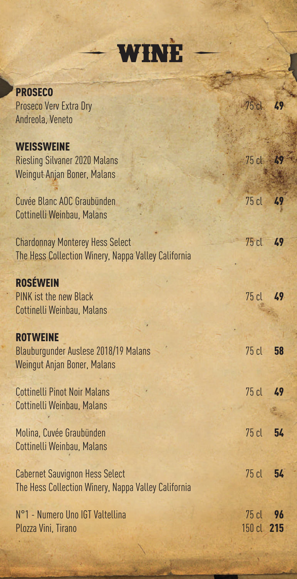**PROSECO** Proseco Verv Extra Dry Andreola, Veneto **WEISSWEINE** Riesling Silvaner 2020 Malans Weingut Anjan Boner, Malans Cuvée Blanc AOC Graubünden Cottinelli Weinbau, Malans Chardonnay Monterey Hess Select The Hess Collection Winery, Nappa Valley California ROSÉWEIN PINK ist the new Black Cottinelli Weinbau, Malans **ROTWEINE** Blauburgunder Auslese 2018/19 Malans Weingut Anjan Boner, Malans Cottinelli Pinot Noir Malans Cottinelli Weinbau, Malans Molina, Cuvée Graubünden Cottinelli Weinbau, Malans Cabernet Sauvignon Hess Select The Hess Collection Winery, Nappa Valley California N°1 - Numero Uno IGT Valtellina Plozza Vini, Tirano 49 49 49 49 49 58 49 54 75 cl 54 75 cl 96 150 cl 215 75 cl 75 cl 75 cl 75 cl 75 cl 75 cl 75 cl 75 cl

**( wine )**